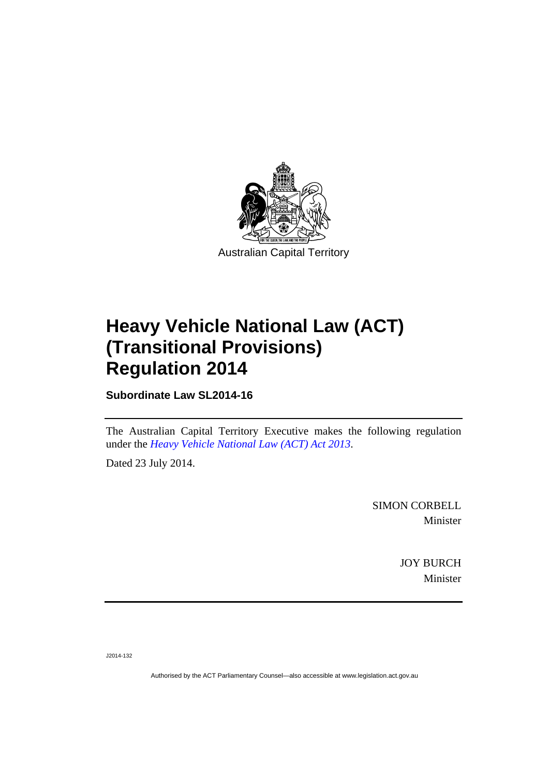

# **Heavy Vehicle National Law (ACT) (Transitional Provisions) Regulation 2014**

**Subordinate Law SL2014-16** 

The Australian Capital Territory Executive makes the following regulation under the *[Heavy Vehicle National Law \(ACT\) Act 2013](http://www.legislation.act.gov.au/a/2013-51/default.asp)*.

Dated 23 July 2014.

SIMON CORBELL Minister

> JOY BURCH Minister

J2014-132

Authorised by the ACT Parliamentary Counsel—also accessible at www.legislation.act.gov.au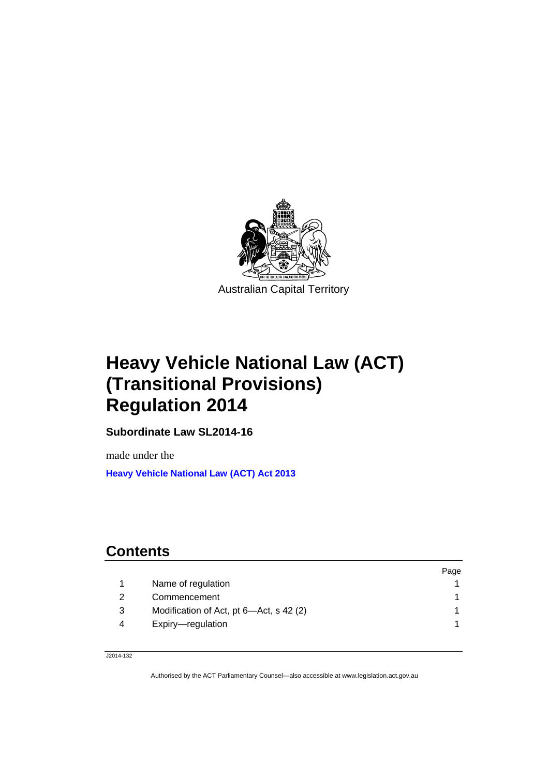

# **Heavy Vehicle National Law (ACT) (Transitional Provisions) Regulation 2014**

**Subordinate Law SL2014-16** 

made under the **[Heavy Vehicle National Law \(ACT\) Act 2013](http://www.legislation.act.gov.au/a/2013-51/default.asp)**

# **Contents**

|   |                                         | Page |
|---|-----------------------------------------|------|
|   | Name of regulation                      |      |
|   | Commencement                            |      |
| 3 | Modification of Act, pt 6-Act, s 42 (2) |      |
| 4 | Expiry-regulation                       |      |
|   |                                         |      |

J2014-132

Authorised by the ACT Parliamentary Counsel—also accessible at www.legislation.act.gov.au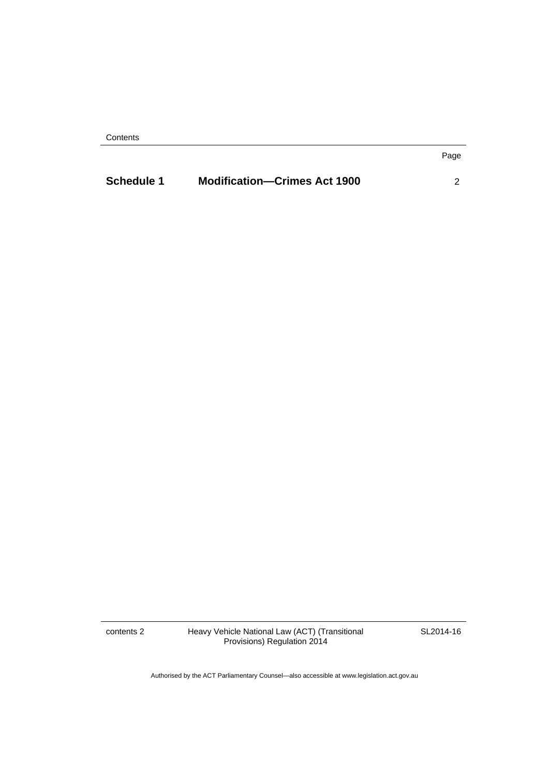**Contents** 

| <b>Schedule 1</b> | <b>Modification-Crimes Act 1900</b> |  |
|-------------------|-------------------------------------|--|
|                   |                                     |  |

contents 2 Heavy Vehicle National Law (ACT) (Transitional Provisions) Regulation 2014

SL2014-16

Page

Authorised by the ACT Parliamentary Counsel—also accessible at www.legislation.act.gov.au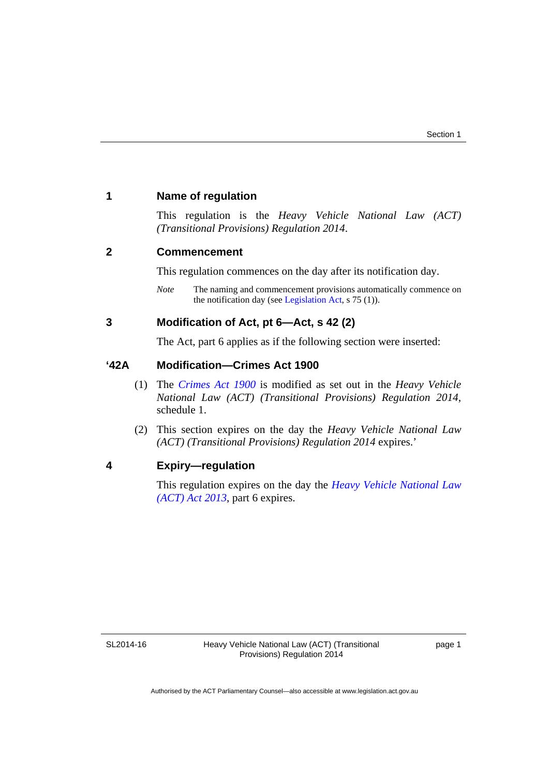#### <span id="page-4-0"></span>**1 Name of regulation**

This regulation is the *Heavy Vehicle National Law (ACT) (Transitional Provisions) Regulation 2014*.

#### <span id="page-4-1"></span>**2 Commencement**

This regulation commences on the day after its notification day.

*Note* The naming and commencement provisions automatically commence on the notification day (see [Legislation Act,](http://www.legislation.act.gov.au/a/2001-14) s 75 (1)).

### <span id="page-4-2"></span>**3 Modification of Act, pt 6—Act, s 42 (2)**

The Act, part 6 applies as if the following section were inserted:

#### **'42A Modification—Crimes Act 1900**

- (1) The *[Crimes Act 1900](http://www.legislation.act.gov.au/a/1900-40)* is modified as set out in the *Heavy Vehicle National Law (ACT) (Transitional Provisions) Regulation 2014*, schedule 1.
- (2) This section expires on the day the *Heavy Vehicle National Law (ACT) (Transitional Provisions) Regulation 2014* expires.'

#### <span id="page-4-3"></span>**4 Expiry—regulation**

This regulation expires on the day the *[Heavy Vehicle National Law](http://www.legislation.act.gov.au/a/2013-51/default.asp)  [\(ACT\) Act 2013](http://www.legislation.act.gov.au/a/2013-51/default.asp)*, part 6 expires.

SL2014-16

page 1